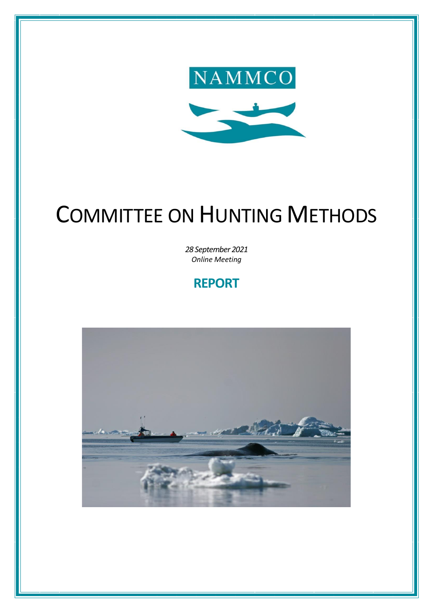

# COMMITTEE ON HUNTING METHODS

*28 September 2021 Online Meeting*

# **REPORT**

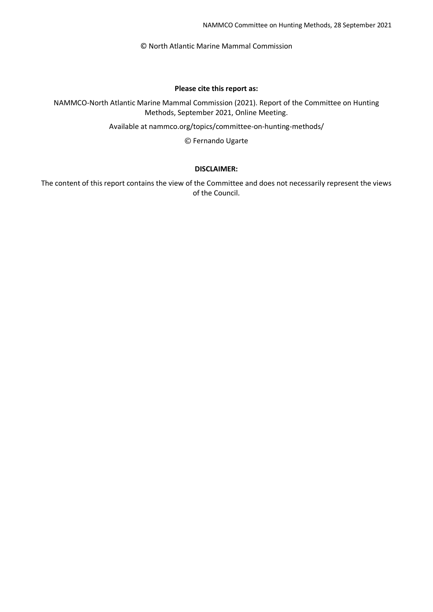© North Atlantic Marine Mammal Commission

#### **Please cite this report as:**

NAMMCO-North Atlantic Marine Mammal Commission (2021). Report of the Committee on Hunting Methods, September 2021, Online Meeting.

Available at nammco.org/topics/committee-on-hunting-methods/

© Fernando Ugarte

#### **DISCLAIMER:**

The content of this report contains the view of the Committee and does not necessarily represent the views of the Council.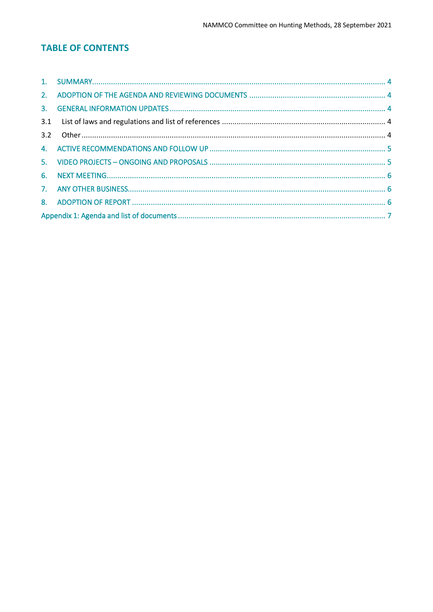# **TABLE OF CONTENTS**

| 3.2 |  |  |  |
|-----|--|--|--|
|     |  |  |  |
|     |  |  |  |
|     |  |  |  |
|     |  |  |  |
|     |  |  |  |
|     |  |  |  |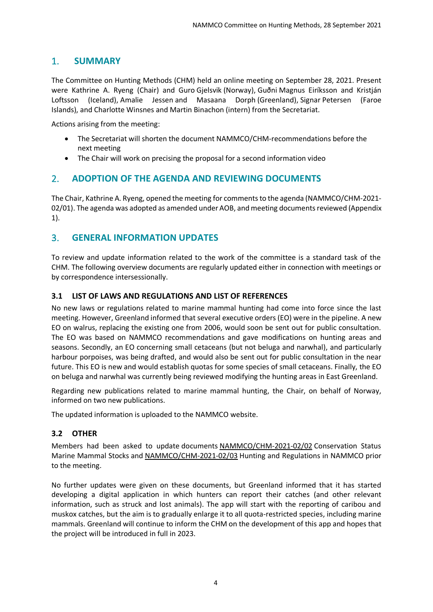# <span id="page-3-0"></span>1. **SUMMARY**

The Committee on Hunting Methods (CHM) held an online meeting on September 28, 2021. Present were Kathrine A. Ryeng (Chair) and Guro Gjelsvik (Norway), Guðni Magnus Eiríksson and Kristján Loftsson (Iceland), Amalie Jessen and Masaana Dorph (Greenland), Signar Petersen (Faroe Islands), and Charlotte Winsnes and Martin Binachon (intern) from the Secretariat.

Actions arising from the meeting:

- The Secretariat will shorten the document NAMMCO/CHM-recommendations before the next meeting
- The Chair will work on precising the proposal for a second information video

# <span id="page-3-1"></span>2. **ADOPTION OF THE AGENDA AND REVIEWING DOCUMENTS**

The Chair, Kathrine A. Ryeng, opened the meeting for comments to the agenda (NAMMCO/CHM-2021-02/01). The agenda was adopted as amended under AOB, and meeting documents reviewed (Appendix 1).

# <span id="page-3-2"></span>3. **GENERAL INFORMATION UPDATES**

To review and update information related to the work of the committee is a standard task of the CHM. The following overview documents are regularly updated either in connection with meetings or by correspondence intersessionally.

#### <span id="page-3-3"></span>**3.1 LIST OF LAWS AND REGULATIONS AND LIST OF REFERENCES**

No new laws or regulations related to marine mammal hunting had come into force since the last meeting. However, Greenland informed that several executive orders (EO) were in the pipeline. A new EO on walrus, replacing the existing one from 2006, would soon be sent out for public consultation. The EO was based on NAMMCO recommendations and gave modifications on hunting areas and seasons. Secondly, an EO concerning small cetaceans (but not beluga and narwhal), and particularly harbour porpoises, was being drafted, and would also be sent out for public consultation in the near future. This EO is new and would establish quotas for some species of small cetaceans. Finally, the EO on beluga and narwhal was currently being reviewed modifying the hunting areas in East Greenland.

Regarding new publications related to marine mammal hunting, the Chair, on behalf of Norway, informed on two new publications.

The updated information is uploaded to the NAMMCO website.

#### <span id="page-3-4"></span>**3.2 OTHER**

Members had been asked to update documents NAMMCO/CHM-2021-02/02 Conservation Status Marine Mammal Stocks and NAMMCO/CHM-2021-02/03 Hunting and Regulations in NAMMCO prior to the meeting.

No further updates were given on these documents, but Greenland informed that it has started developing a digital application in which hunters can report their catches (and other relevant information, such as struck and lost animals). The app will start with the reporting of caribou and muskox catches, but the aim is to gradually enlarge it to all quota-restricted species, including marine mammals. Greenland will continue to inform the CHM on the development of this app and hopes that the project will be introduced in full in 2023.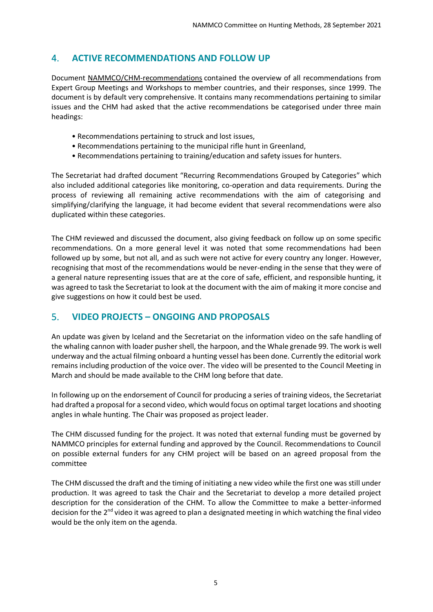# <span id="page-4-0"></span>4. **ACTIVE RECOMMENDATIONS AND FOLLOW UP**

Document NAMMCO/CHM-recommendations contained the overview of all recommendations from Expert Group Meetings and Workshops to member countries, and their responses, since 1999. The document is by default very comprehensive. It contains many recommendations pertaining to similar issues and the CHM had asked that the active recommendations be categorised under three main headings:

- Recommendations pertaining to struck and lost issues,
- Recommendations pertaining to the municipal rifle hunt in Greenland,
- Recommendations pertaining to training/education and safety issues for hunters.

The Secretariat had drafted document "Recurring Recommendations Grouped by Categories" which also included additional categories like monitoring, co-operation and data requirements. During the process of reviewing all remaining active recommendations with the aim of categorising and simplifying/clarifying the language, it had become evident that several recommendations were also duplicated within these categories.

The CHM reviewed and discussed the document, also giving feedback on follow up on some specific recommendations. On a more general level it was noted that some recommendations had been followed up by some, but not all, and as such were not active for every country any longer. However, recognising that most of the recommendations would be never-ending in the sense that they were of a general nature representing issues that are at the core of safe, efficient, and responsible hunting, it was agreed to task the Secretariat to look at the document with the aim of making it more concise and give suggestions on how it could best be used.

# <span id="page-4-1"></span>5. **VIDEO PROJECTS – ONGOING AND PROPOSALS**

An update was given by Iceland and the Secretariat on the information video on the safe handling of the whaling cannon with loader pusher shell, the harpoon, and the Whale grenade 99. The work is well underway and the actual filming onboard a hunting vessel has been done. Currently the editorial work remains including production of the voice over. The video will be presented to the Council Meeting in March and should be made available to the CHM long before that date.

In following up on the endorsement of Council for producing a series of training videos, the Secretariat had drafted a proposal for a second video, which would focus on optimal target locations and shooting angles in whale hunting. The Chair was proposed as project leader.

The CHM discussed funding for the project. It was noted that external funding must be governed by NAMMCO principles for external funding and approved by the Council. Recommendations to Council on possible external funders for any CHM project will be based on an agreed proposal from the committee

The CHM discussed the draft and the timing of initiating a new video while the first one was still under production. It was agreed to task the Chair and the Secretariat to develop a more detailed project description for the consideration of the CHM. To allow the Committee to make a better-informed decision for the 2<sup>nd</sup> video it was agreed to plan a designated meeting in which watching the final video would be the only item on the agenda.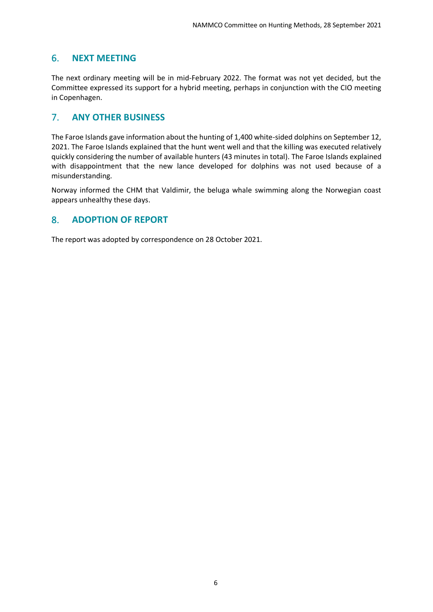# <span id="page-5-0"></span>6. **NEXT MEETING**

The next ordinary meeting will be in mid-February 2022. The format was not yet decided, but the Committee expressed its support for a hybrid meeting, perhaps in conjunction with the CIO meeting in Copenhagen.

# <span id="page-5-1"></span>7. **ANY OTHER BUSINESS**

The Faroe Islands gave information about the hunting of 1,400 white-sided dolphins on September 12, 2021. The Faroe Islands explained that the hunt went well and that the killing was executed relatively quickly considering the number of available hunters (43 minutes in total). The Faroe Islands explained with disappointment that the new lance developed for dolphins was not used because of a misunderstanding.

Norway informed the CHM that Valdimir, the beluga whale swimming along the Norwegian coast appears unhealthy these days.

# <span id="page-5-2"></span>8. **ADOPTION OF REPORT**

The report was adopted by correspondence on 28 October 2021.